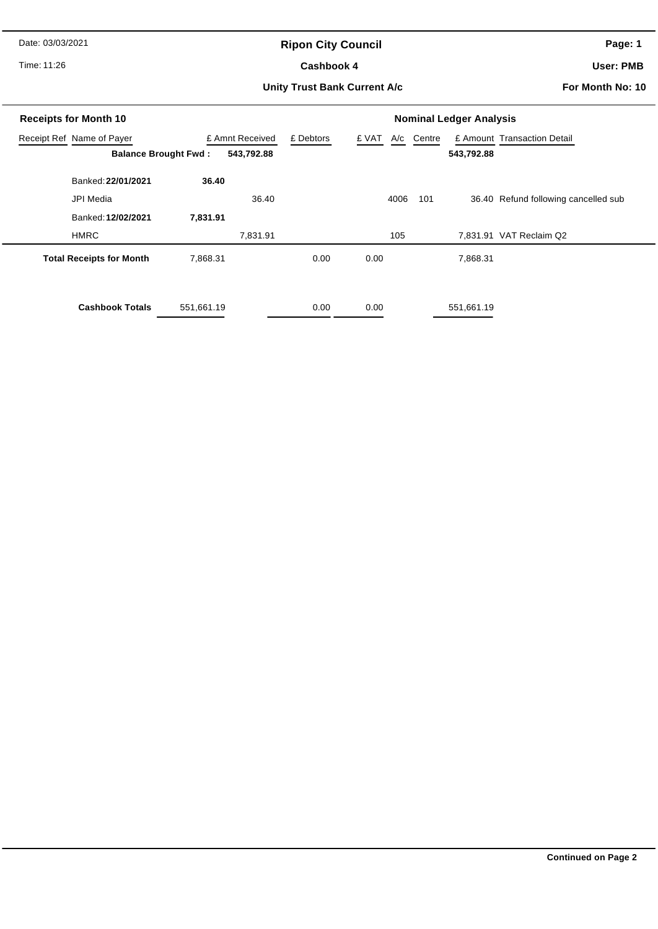Date: 03/03/2021

# **Ripon City Council**

Time: 11:26

#### Cashbook 4

**Page: 1**

**User: PMB**

#### **Unity Trust Bank Current A/c**

**For Month No: 10**

| <b>Receipts for Month 10</b>              | <b>Nominal Ledger Analysis</b> |                 |           |                  |     |            |                                      |
|-------------------------------------------|--------------------------------|-----------------|-----------|------------------|-----|------------|--------------------------------------|
| Receipt Ref Name of Payer                 |                                | £ Amnt Received | £ Debtors | £ VAT A/c Centre |     |            | £ Amount Transaction Detail          |
| 543,792.88<br><b>Balance Brought Fwd:</b> |                                |                 |           |                  |     | 543,792.88 |                                      |
| Banked: 22/01/2021                        | 36.40                          |                 |           |                  |     |            |                                      |
| JPI Media                                 |                                | 36.40           |           | 4006             | 101 |            | 36.40 Refund following cancelled sub |
| Banked: 12/02/2021                        | 7,831.91                       |                 |           |                  |     |            |                                      |
| <b>HMRC</b>                               |                                | 7,831.91        |           | 105              |     |            | 7,831.91 VAT Reclaim Q2              |
| <b>Total Receipts for Month</b>           | 7,868.31                       |                 | 0.00      | 0.00             |     | 7,868.31   |                                      |
| <b>Cashbook Totals</b>                    | 551,661.19                     |                 | 0.00      | 0.00             |     | 551,661.19 |                                      |